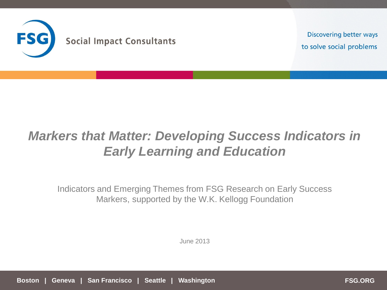

**Discovering better ways** to solve social problems

# *Markers that Matter: Developing Success Indicators in Early Learning and Education*

Indicators and Emerging Themes from FSG Research on Early Success Markers, supported by the W.K. Kellogg Foundation

June 2013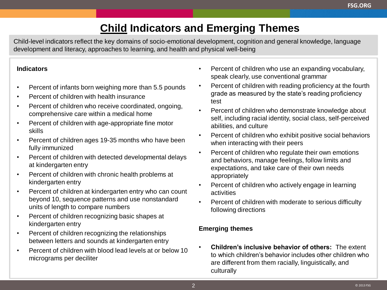# **Child Indicators and Emerging Themes**

Child-level indicators reflect the key domains of socio-emotional development, cognition and general knowledge, language development and literacy, approaches to learning, and health and physical well-being

#### **Indicators**

- Percent of infants born weighing more than 5.5 pounds
- Percent of children with health insurance
- Percent of children who receive coordinated, ongoing, comprehensive care within a medical home
- Percent of children with age-appropriate fine motor skills
- Percent of children ages 19-35 months who have been fully immunized
- Percent of children with detected developmental delays at kindergarten entry
- Percent of children with chronic health problems at kindergarten entry
- Percent of children at kindergarten entry who can count beyond 10, sequence patterns and use nonstandard units of length to compare numbers
- Percent of children recognizing basic shapes at kindergarten entry
- Percent of children recognizing the relationships between letters and sounds at kindergarten entry
- Percent of children with blood lead levels at or below 10 micrograms per deciliter
- Percent of children who use an expanding vocabulary, speak clearly, use conventional grammar
- Percent of children with reading proficiency at the fourth grade as measured by the state's reading proficiency test
- Percent of children who demonstrate knowledge about self, including racial identity, social class, self-perceived abilities, and culture
- Percent of children who exhibit positive social behaviors when interacting with their peers
- Percent of children who regulate their own emotions and behaviors, manage feelings, follow limits and expectations, and take care of their own needs appropriately
- Percent of children who actively engage in learning activities
- Percent of children with moderate to serious difficulty following directions

#### **Emerging themes**

• **Children's inclusive behavior of others:** The extent to which children's behavior includes other children who are different from them racially, linguistically, and culturally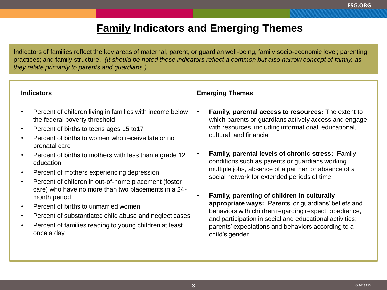### **Family Indicators and Emerging Themes**

Indicators of families reflect the key areas of maternal, parent, or guardian well-being, family socio-economic level; parenting practices; and family structure. *(It should be noted these indicators reflect a common but also narrow concept of family, as they relate primarily to parents and guardians.)*

#### **Indicators**

- Percent of children living in families with income below the federal poverty threshold
- Percent of births to teens ages 15 to17
- Percent of births to women who receive late or no prenatal care
- Percent of births to mothers with less than a grade 12 education
- Percent of mothers experiencing depression
- Percent of children in out-of-home placement (foster care) who have no more than two placements in a 24 month period
- Percent of births to unmarried women
- Percent of substantiated child abuse and neglect cases
- Percent of families reading to young children at least once a day

#### **Emerging Themes**

- **Family, parental access to resources:** The extent to which parents or guardians actively access and engage with resources, including informational, educational, cultural, and financial
- **Family, parental levels of chronic stress:** Family conditions such as parents or guardians working multiple jobs, absence of a partner, or absence of a social network for extended periods of time
- **Family, parenting of children in culturally appropriate ways:** Parents' or guardians' beliefs and behaviors with children regarding respect, obedience, and participation in social and educational activities; parents' expectations and behaviors according to a child's gender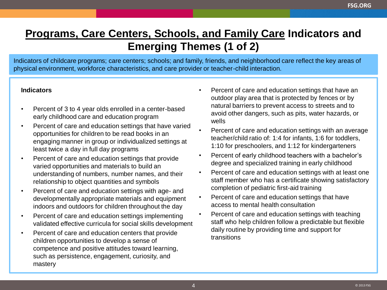## **Programs, Care Centers, Schools, and Family Care Indicators and Emerging Themes (1 of 2)**

Indicators of childcare programs; care centers; schools; and family, friends, and neighborhood care reflect the key areas of physical environment, workforce characteristics, and care provider or teacher-child interaction.

#### **Indicators**

- Percent of 3 to 4 year olds enrolled in a center-based early childhood care and education program
- Percent of care and education settings that have varied opportunities for children to be read books in an engaging manner in group or individualized settings at least twice a day in full day programs
- Percent of care and education settings that provide varied opportunities and materials to build an understanding of numbers, number names, and their relationship to object quantities and symbols
- Percent of care and education settings with age- and developmentally appropriate materials and equipment indoors and outdoors for children throughout the day
- Percent of care and education settings implementing validated effective curricula for social skills development
- Percent of care and education centers that provide children opportunities to develop a sense of competence and positive attitudes toward learning, such as persistence, engagement, curiosity, and mastery
- Percent of care and education settings that have an outdoor play area that is protected by fences or by natural barriers to prevent access to streets and to avoid other dangers, such as pits, water hazards, or wells
- Percent of care and education settings with an average teacher/child ratio of: 1:4 for infants, 1:6 for toddlers, 1:10 for preschoolers, and 1:12 for kindergarteners
- Percent of early childhood teachers with a bachelor's degree and specialized training in early childhood
- Percent of care and education settings with at least one staff member who has a certificate showing satisfactory completion of pediatric first-aid training
- Percent of care and education settings that have access to mental health consultation
- Percent of care and education settings with teaching staff who help children follow a predictable but flexible daily routine by providing time and support for transitions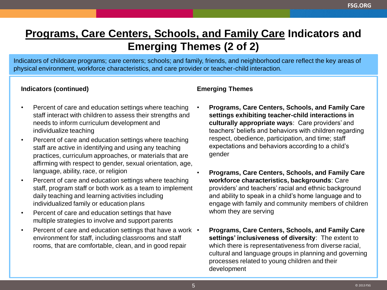### **Programs, Care Centers, Schools, and Family Care Indicators and Emerging Themes (2 of 2)**

Indicators of childcare programs; care centers; schools; and family, friends, and neighborhood care reflect the key areas of physical environment, workforce characteristics, and care provider or teacher-child interaction.

#### **Indicators (continued)**

- Percent of care and education settings where teaching staff interact with children to assess their strengths and needs to inform curriculum development and individualize teaching
- Percent of care and education settings where teaching staff are active in identifying and using any teaching practices, curriculum approaches, or materials that are affirming with respect to gender, sexual orientation, age, language, ability, race, or religion
- Percent of care and education settings where teaching staff, program staff or both work as a team to implement daily teaching and learning activities including individualized family or education plans
- Percent of care and education settings that have multiple strategies to involve and support parents
- Percent of care and education settings that have a work . environment for staff, including classrooms and staff rooms, that are comfortable, clean, and in good repair

#### **Emerging Themes**

- **Programs, Care Centers, Schools, and Family Care settings exhibiting teacher-child interactions in culturally appropriate ways**: Care providers' and teachers' beliefs and behaviors with children regarding respect, obedience, participation, and time; staff expectations and behaviors according to a child's gender
- **Programs, Care Centers, Schools, and Family Care workforce characteristics, backgrounds**: Care providers' and teachers' racial and ethnic background and ability to speak in a child's home language and to engage with family and community members of children whom they are serving
- **Programs, Care Centers, Schools, and Family Care settings' inclusiveness of diversity**: The extent to which there is representativeness from diverse racial, cultural and language groups in planning and governing processes related to young children and their development